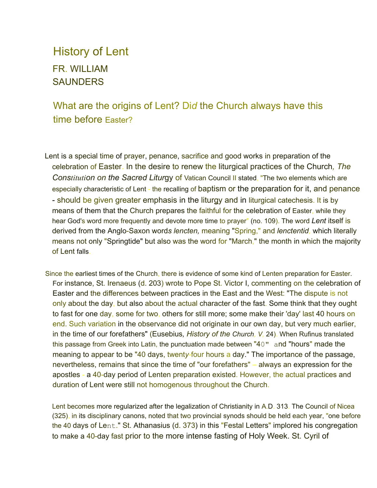### History of Lent FR. WILLIAM **SAUNDERS**

#### What are the origins of Lent? Di*d* the Church always have this time before Easter?

- Lent is a special time of prayer, penance, sacrifice and good works in preparation of the celebration of Easter. In the desire to renew the liturgical practices of the Church*, The Constitution on the Sacred Litur*gy of Vatican Council II stated, "The two elements which are especially characteristic of Lent - the recalling of baptism or the preparation for it, and penance - should be given greater emphasis in the liturgy and in liturgical catechesis. It is by means of them that the Church prepares the faithful for the celebration of Easter, while they hear God's word more frequently and devote more time to prayer" (no. 109). The word *Lent* itself is derived from the Anglo-Saxon word*s lencten,* meaning "Spring," and *lenctentid,* which literally means not only "Springtide" but also was the word for "March," the month in which the majority of Lent falls.
- Since the earliest times of the Church, there is evidence of some kind of Lenten preparation for Easter. For instance, St. Irenaeus (d. 203) wrote to Pope St. Victor I, commenting on the celebration of Easter and the differences between practices in the East and the West: "The dispute is not only about the day, but also about the actual character of the fast. Some think that they ought to fast for one day, some for two, others for still more; some make their 'day' last 40 hours on end. Such variation in the observance did not originate in our own day, but very much earlier, in the time of our forefathers" (Eusebius*, History of the Church, V,* 24). When Rufinus translated this passage from Greek into Latin, the punctuation made between "40" and "hours" made the meaning to appear to be "40 days, twent*y-*four hours a day." The importance of the passage, nevertheless, remains that since the time of "our forefathers" – always an expression for the apostles - a 40-day period of Lenten preparation existed. However, the actual practices and duration of Lent were still not homogenous throughout the Church.

Lent becomes more regularized after the legalization of Christianity in A.D. 313. The Council of Nicea (325), in its disciplinary canons, noted that two provincial synods should be held each year, "one before the 40 days of Lent." St. Athanasius (d. 373) in this "Festal Letters" implored his congregation to make a 40-day fast prior to the more intense fasting of Holy Week. St. Cyril of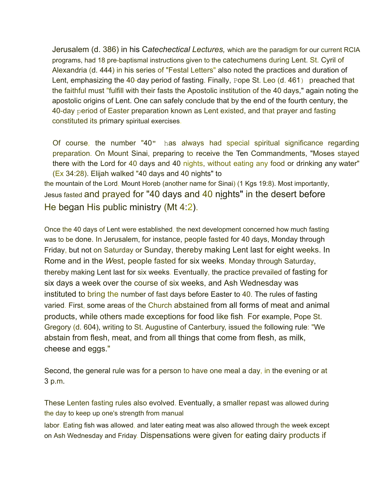Jerusalem (d. 386) in his C*atechectical Lectures,* which are the paradigm for our current RCIA programs, had 18 pre-baptismal instructions given to the catechumens during Lent. St. Cyril of Alexandria (d. 444) in his series of "Festal Letters" also noted the practices and duration of Lent, emphasizing the 40-day period of fasting. Finally, Pope St. Leo (d. 461) preached that the faithful must "fulfill with their fasts the Apostolic institution of the 40 days," again noting the apostolic origins of Lent. One can safely conclude that by the end of the fourth century, the 40-day period of Easter preparation known as Lent existed, and that prayer and fasting constituted its primary spiritual exercises.

Of course, the number "40" has always had special spiritual significance regarding preparation. On Mount Sinai, preparing to receive the Ten Commandments, "Moses stayed there with the Lord for 40 days and 40 nights, without eating any food or drinking any water" (Ex 34:28). Elijah walked "40 days and 40 nights" to the mountain of the Lord, Mount Horeb (another name for Sinai) (1 Kgs 19:8). Most importantly, Jesus fasted and prayed for "40 days and 40 nights" in the desert before He began His public ministry (Mt 4:2).

Once the 40 days of Lent were established, the next development concerned how much fasting was to be done. In Jerusalem, for instance, people fasted for 40 days, Monday through Friday, but not on Saturday or Sunday, thereby making Lent last for eight weeks. In Rome and in the *W*est, people fasted for six weeks, Monday through Saturday, thereby making Lent last for six weeks. Eventually, the practice prevailed of fasting for six days a week over the course of six weeks, and Ash Wednesday was instituted to bring the number of fast days before Easter to 40. The rules of fasting varied. First, some areas of the Church abstained from all forms of meat and animal products, while others made exceptions for food like fish. For example, Pope St. Gregory (d. 604), writing to St. Augustine of Canterbury, issued the following rule: "We abstain from flesh, meat, and from all things that come from flesh, as milk, cheese and eggs."

Second, the general rule was for a person to have one meal a day, in the evening or at 3 p.m.

These Lenten fasting rules also evolved. Eventually, a smaller repast was allowed during the day to keep up one's strength from manual

labor. Eating fish was allowed, and later eating meat was also allowed through the week except on Ash Wednesday and Friday. Dispensations were given for eating dairy products if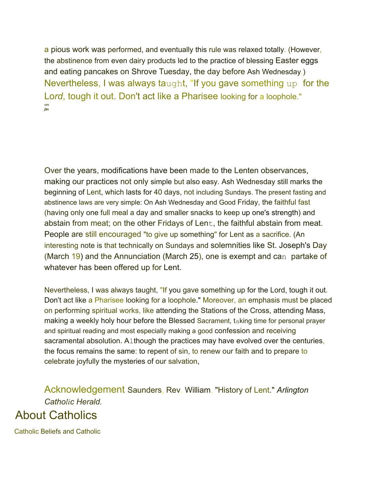a pious work was performed, and eventually this rule was relaxed totally. (However, the abstinence from even dairy products led to the practice of blessing Easter eggs and eating pancakes on Shrove Tuesday, the day before Ash Wednesday.) Nevertheless, I was always taught, "If you gave something up for the Lo*rd*, tough it out. Don't act like a Pharisee looking for a loophole." **SVV** *j***as**

Over the years, modifications have been made to the Lenten observances, making our practices not only simple but also easy. Ash Wednesday still marks the beginning of Lent, which lasts for 40 days, not including Sundays. The present fasting and abstinence laws are very simple: On Ash Wednesday and Good Friday, the faithful fast (having only one full meal a day and smaller snacks to keep up one's strength) and abstain from meat; on the other Fridays of Lent, the faithful abstain from meat. People are still encouraged "to give up something" for Lent as a sacrifice. (An interesting note is that technically on Sundays and solemnities like St. Joseph's Day (March 19) and the Annunciation (March 25), one is exempt and can partake of whatever has been offered up for Lent.

Nevertheless, I was always taught, "If you gave something up for the Lord, tough it out. Don't act like a Pharisee looking for a loophole." Moreover, an emphasis must be placed on performing spiritual works, like attending the Stations of the Cross, attending Mass, making a weekly holy hour before the Blessed Sacrament, taking time for personal prayer and spiritual reading and most especially making a good confession and receiving sacramental absolution. Although the practices may have evolved over the centuries, the focus remains the same: to repent of sin, to renew our faith and to prepare to celebrate joyfully the mysteries of our salvation,

Acknowledgement Saunders, Rev. William. "History of Lent." *Arlington Catholic Herald.* About Catholics

Catholic Beliefs and Catholic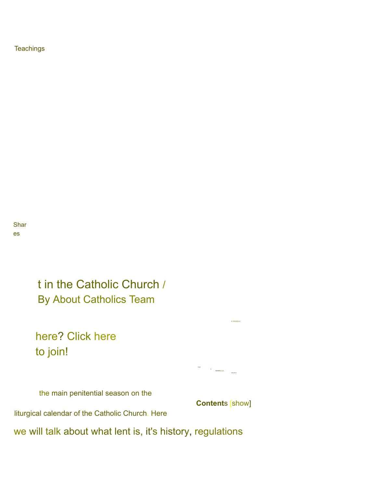**Teachings** 

Shar es

> t in the Catholic Church / By About Catholics Team

here? Click here to join!

the main penitential season on the

**Content**s [show]

1112<br>B<br>EEREELLLL<br>LLLLLL

EI RREREN U

liturgical calendar of the Catholic Church. Here

we will talk about what lent is, it's history, regulations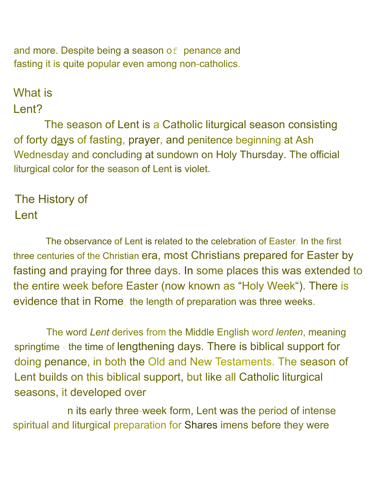and more. Despite being a season of penance and fasting it is quite popular even among non-catholics.

# What is

## Lent?

The season of Lent is a Catholic liturgical season consisting of forty days of fasting, prayer, and penitence beginning at Ash Wednesday and concluding at sundown on Holy Thursday. The official liturgical color for the season of Lent is violet.

# The History of Lent

The observance of Lent is related to the celebration of Easter. In the first three centuries of the Christian era, most Christians prepared for Easter by fasting and praying for three days. In some places this was extended to the entire week before Easter (now known as "Holy Week"). There is evidence that in Rome, the length of preparation was three weeks.

The word *Lent* derives from the Middle English wor*d lenten*, meaning springtime - the time of lengthening days. There is biblical support for doing penance, in both the Old and New Testaments. The season of Lent builds on this biblical support, but like all Catholic liturgical seasons, it developed over

n its early three-week form, Lent was the period of intense spiritual and liturgical preparation for Shares imens before they were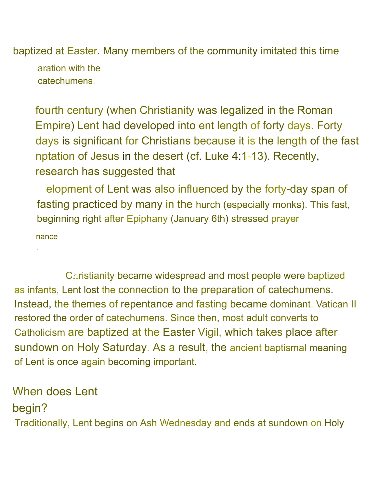baptized at Easter. Many members of the community imitated this time

aration with the catechumens.

fourth century (when Christianity was legalized in the Roman Empire) Lent had developed into ent length of forty days. Forty days is significant for Christians because it is the length of the fast nptation of Jesus in the desert (cf. Luke 4:1-13). Recently, research has suggested that

elopment of Lent was also influenced by the forty-day span of fasting practiced by many in the hurch (especially monks). This fast, beginning right after Epiphany (January 6th) stressed prayer

nance

.

Christianity became widespread and most people were baptized as infants, Lent lost the connection to the preparation of catechumens. Instead, the themes of repentance and fasting became dominant. Vatican II restored the order of catechumens. Since then, most adult converts to Catholicism are baptized at the Easter Vigil, which takes place after sundown on Holy Saturday. As a result, the ancient baptismal meaning of Lent is once again becoming important.

# When does Lent

#### begin?

Traditionally, Lent begins on Ash Wednesday and ends at sundown on Holy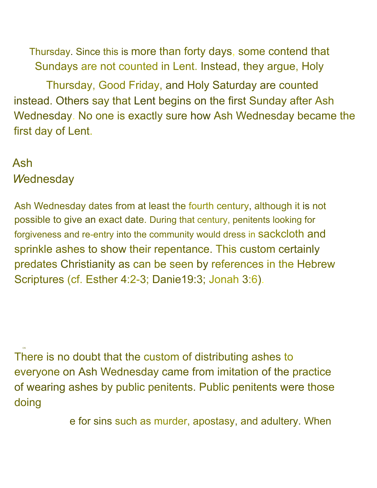Thursday. Since this is more than forty days, some contend that Sundays are not counted in Lent. Instead, they argue, Holy

Thursday, Good Friday, and Holy Saturday are counted instead. Others say that Lent begins on the first Sunday after Ash Wednesday. No one is exactly sure how Ash Wednesday became the first day of Lent.

#### Ash *W*ednesday

OS

Ash Wednesday dates from at least the fourth century, although it is not possible to give an exact date. During that century, penitents looking for forgiveness and re-entry into the community would dress in sackcloth and sprinkle ashes to show their repentance. This custom certainly predates Christianity as can be seen by references in the Hebrew Scriptures (cf. Esther 4:2-3; Danie19:3; Jonah 3:6).

There is no doubt that the custom of distributing ashes to everyone on Ash Wednesday came from imitation of the practice of wearing ashes by public penitents. Public penitents were those doing

e for sins such as murder, apostasy, and adultery. When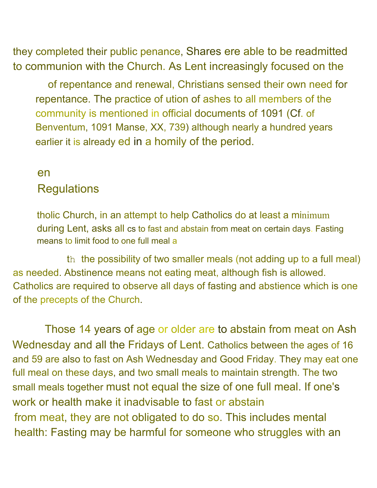they completed their public penance, Shares ere able to be readmitted to communion with the Church. As Lent increasingly focused on the

of repentance and renewal, Christians sensed their own need for repentance. The practice of ution of ashes to all members of the community is mentioned in official documents of 1091 (Cf. of Benventum, 1091 Manse, XX, 739) although nearly a hundred years earlier it is already ed in a homily of the period.

#### en **Regulations**

tholic Church, in an attempt to help Catholics do at least a minimum during Lent, asks all cs to fast and abstain from meat on certain days. Fasting means to limit food to one full meal a

th the possibility of two smaller meals (not adding up to a full meal) as needed. Abstinence means not eating meat, although fish is allowed. Catholics are required to observe all days of fasting and abstience which is one of the precepts of the Church.

Those 14 years of age or older are to abstain from meat on Ash Wednesday and all the Fridays of Lent. Catholics between the ages of 16 and 59 are also to fast on Ash Wednesday and Good Friday. They may eat one full meal on these days, and two small meals to maintain strength. The two small meals together must not equal the size of one full meal. If one's work or health make it inadvisable to fast or abstain from meat, they are not obligated to do so. This includes mental health: Fasting may be harmful for someone who struggles with an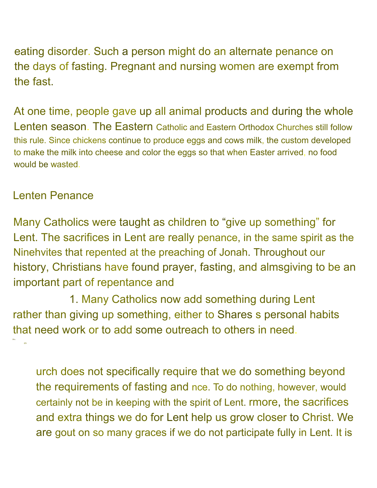eating disorder. Such a person might do an alternate penance on the days of fasting. Pregnant and nursing women are exempt from the fast.

At one time, people gave up all animal products and during the whole Lenten season. The Eastern Catholic and Eastern Orthodox Churches still follow this rule. Since chickens continue to produce eggs and cows milk, the custom developed to make the milk into cheese and color the eggs so that when Easter arrived, no food would be wasted.

#### Lenten Penance

Many Catholics were taught as children to "give up something" for Lent. The sacrifices in Lent are really penance, in the same spirit as the Ninehvites that repented at the preaching of Jonah. Throughout our history, Christians have found prayer, fasting, and almsgiving to be an important part of repentance and

1. Many Catholics now add something during Lent rather than giving up something, either to Shares s personal habits that need work or to add some outreach to others in need. Sha es

urch does not specifically require that we do something beyond the requirements of fasting and nce. To do nothing, however, would certainly not be in keeping with the spirit of Lent. rmore, the sacrifices and extra things we do for Lent help us grow closer to Christ. We are gout on so many graces if we do not participate fully in Lent. It is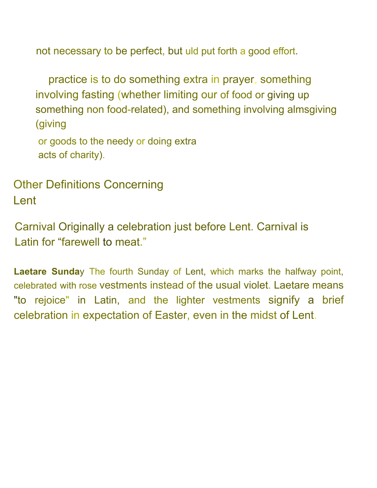not necessary to be perfect, but uld put forth a good effort.

practice is to do something extra in prayer, something involving fasting (whether limiting our of food or giving up something non food-related), and something involving almsgiving (giving

or goods to the needy or doing extra acts of charity).

Other Definitions Concerning Lent

Carnival Originally a celebration just before Lent. Carnival is Latin for "farewell to meat."

**Laetare Sunda**y The fourth Sunday of Lent, which marks the halfway point, celebrated with rose vestments instead of the usual violet. Laetare means "to rejoice" in Latin, and the lighter vestments signify a brief celebration in expectation of Easter, even in the midst of Lent.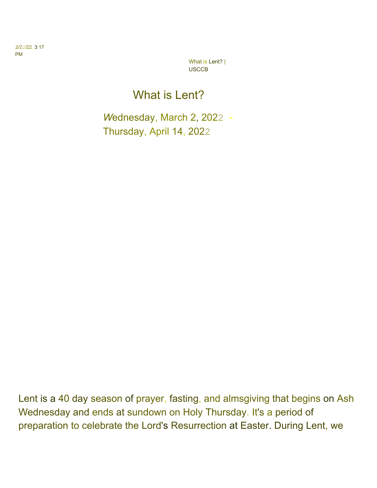*2/22/*22, 3:17 PM

> What is Lent? | USCCB

## What is Lent?

*W*ednesday, March 2, 2022 - Thursday, April 14, 2022

Lent is a 40 day season of prayer, fasting, and almsgiving that begins on Ash Wednesday and ends at sundown on Holy Thursday. It's a period of preparation to celebrate the Lord's Resurrection at Easter. During Lent, we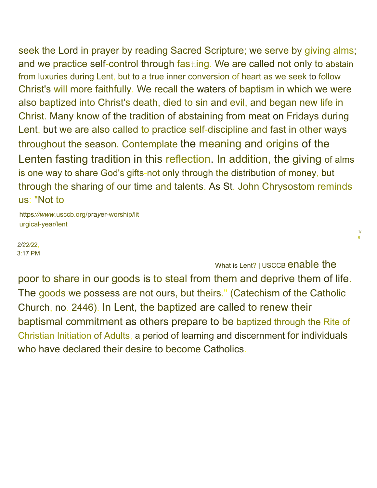seek the Lord in prayer by reading Sacred Scripture; we serve by giving alms; and we practice self-control through fasting. We are called not only to abstain from luxuries during Lent, but to a true inner conversion of heart as we seek to follow Christ's will more faithfully. We recall the waters of baptism in which we were also baptized into Christ's death, died to sin and evil, and began new life in Christ. Many know of the tradition of abstaining from meat on Fridays during Lent, but we are also called to practice self-discipline and fast in other ways throughout the season. Contemplate the meaning and origins of the Lenten fasting tradition in this reflection. In addition, the giving of alms is one way to share God's gifts-not only through the distribution of money, but through the sharing of our time and talents. As St. John Chrysostom reminds us: "Not to

https*://www.*usccb.org/pra*y*er-worship/lit urgical-year/lent

*2/22/2*2, 3:17 PM

What is Lent? | USCCB enable the

1/ 8

poor to share in our goods is to steal from them and deprive them of life. The goods we possess are not ours, but theirs." (Catechism of the Catholic Church, no. 2446). In Lent, the baptized are called to renew their baptismal commitment as others prepare to be baptized through the Rite of Christian Initiation of Adults, a period of learning and discernment for individuals who have declared their desire to become Catholics.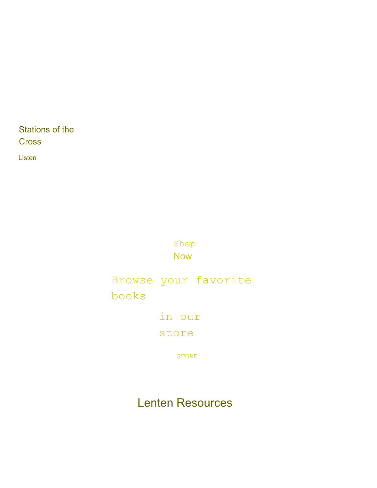Stations of the **Cross** 

Listen

Shop Now

Browse your favorite books

in our

store

STORE

Lenten Resources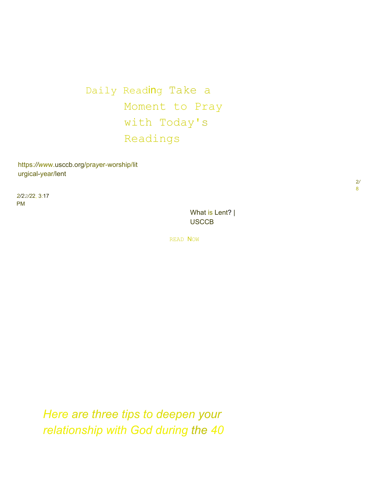Daily Reading Take a Moment to Pray with Today's Readings

https*://ww*w.usccb.org/pra*y*er-worship/lit urgical-year/lent

*2/22/2*2, 3:17 PM

> What is Lent? | **USCCB**

READ NOW

*Here are three tips to deepen your relationship with God during the 40*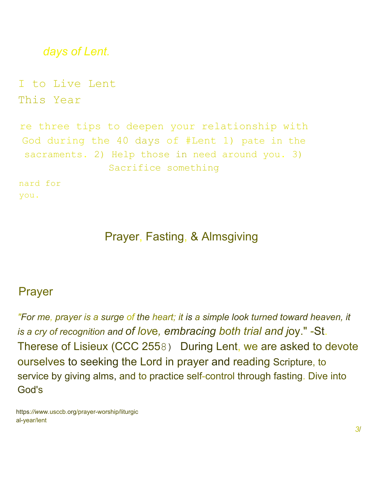```
days of Lent.
I to Live Lent
This Year
re three tips to deepen your relationship with
God during the 40 days of #Lent 1) pate in the
 sacraments. 2) Help those in need around you. 3)
               Sacrifice something
nard for
you.
```
### Prayer, Fasting, & Almsgiving

#### Prayer

*"For me, pr*a*yer is a surge of the heart; it is a simple look turned toward heaven, it is a cry of recognition and of lov*e*, embracing both trial and j*oy." -St. Therese of Lisieux (CCC 2558) During Lent, we are asked to devote ourselves to seeking the Lord in prayer and reading Scripture, to service by giving alms, and to practice self-control through fasting. Dive into God's

https*://ww*w*.*usccb.org/prayer-worship/liturgic al-year/lent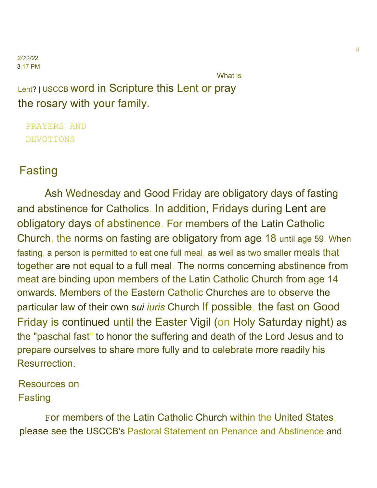#### *2/22/2*2, 3:17 PM

What is

Lent? <sup>|</sup> USCCB word in Scripture this Lent or pray the rosary with your family.

PRAYERS AND DEVOTIONS

## Fasting

Ash Wednesday and Good Friday are obligatory days of fasting and abstinence for Catholics. In addition, Fridays during Lent are obligatory days of abstinence. For members of the Latin Catholic Church, the norms on fasting are obligatory from age 18 until age 59. When fasting, a person is permitted to eat one full meal, as well as two smaller meals that together are not equal to a full meal. The norms concerning abstinence from meat are binding upon members of the Latin Catholic Church from age 14 onwards. Members of the Eastern Catholic Churches are to observe the particular law of their own s*ui iuris* Church If possible, the fast on Good Friday is continued until the Easter Vigil (on Holy Saturday night) as the "paschal fast" to honor the suffering and death of the Lord Jesus and to prepare ourselves to share more fully and to celebrate more readily his Resurrection.

Resources on Fasting

For members of the Latin Catholic Church within the United States, please see the USCCB's Pastoral Statement on Penance and Abstinence and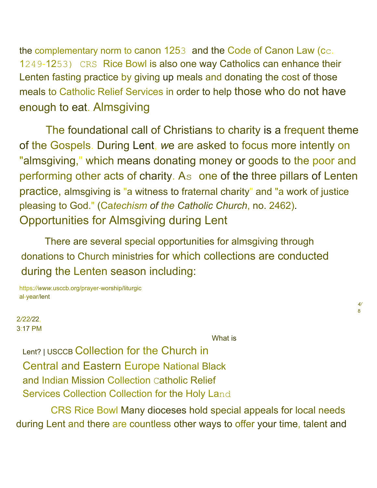the complementary norm to canon 1253 and the Code of Canon Law (cc. 1249-1253) CRS Rice Bowl is also one way Catholics can enhance their Lenten fasting practice by giving up meals and donating the cost of those meals to Catholic Relief Services in order to help those who do not have enough to eat. Almsgiving

The foundational call of Christians to charity is a frequent theme of the Gospels. During Lent, *w*e are asked to focus more intently on "almsgiving," which means donating money or goods to the poor and performing other acts of charity. As one of the three pillars of Lenten practice, almsgiving is "a witness to fraternal charity" and "a work of justice pleasing to God." (Ca*techism of the Catholic Church*, no. 2462). Opportunities for Almsgiving during Lent

There are several special opportunities for almsgiving through donations to Church ministries for which collections are conducted during the Lenten season including:

https*://www.*usccb.org/prayer-worship/liturgic al-year/lent

2*/22/2*2, 3:17 PM

What is

*4/* 8

Lent? <sup>|</sup> USCCB Collection for the Church in Central and Eastern Europe National Black and Indian Mission Collection Catholic Relief Services Collection Collection for the Holy Land

CRS Rice Bowl Many dioceses hold special appeals for local needs during Lent and there are countless other ways to offer your time, talent and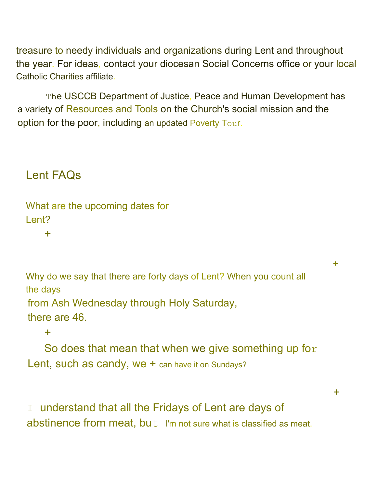treasure to needy individuals and organizations during Lent and throughout the year. For ideas, contact your diocesan Social Concerns office or your local Catholic Charities affiliate.

The USCCB Department of Justice, Peace and Human Development has a variety of Resources and Tools on the Church's social mission and the option for the poor, including an updated Poverty Tour.

## Lent FAQs

What are the upcoming dates for Lent?

+

Why do we say that there are forty days of Lent? When you count all the days from Ash Wednesday through Holy Saturday, there are 46.

+

+

#### $+$

So does that mean that when we give something up for Lent, such as candy, we + can have it on Sundays?

I understand that all the Fridays of Lent are days of abstinence from meat, but I'm not sure what is classified as meat.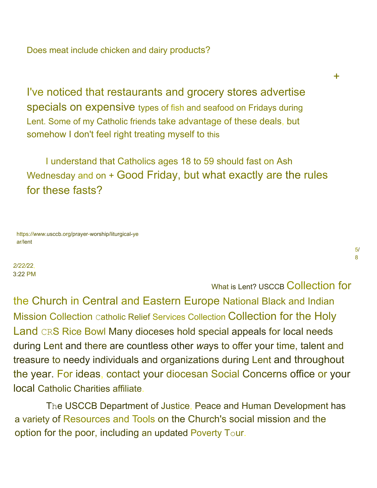Does meat include chicken and dairy products?

I've noticed that restaurants and grocery stores advertise specials on expensive types of fish and seafood on Fridays during Lent. Some of my Catholic friends take advantage of these deals, but somehow I don't feel right treating myself to this

I understand that Catholics ages 18 to 59 should fast on Ash Wednesday and on + Good Friday, but what exactly are the rules for these fasts?

https*://www*.usccb.org/prayer-worship/liturgical-ye ar/lent

*2/22/*22, 3:22 PM

#### What is Lent? USCCB Collection for

the Church in Central and Eastern Europe National Black and Indian Mission Collection Catholic Relief Services Collection Collection for the Holy Land CRS Rice Bowl Many dioceses hold special appeals for local needs during Lent and there are countless other *wa*ys to offer your time, talent and treasure to needy individuals and organizations during Lent and throughout the year. For ideas, contact your diocesan Social Concerns office or your local Catholic Charities affiliate.

The USCCB Department of Justice, Peace and Human Development has a variety of Resources and Tools on the Church's social mission and the option for the poor, including an updated Poverty Tour.

+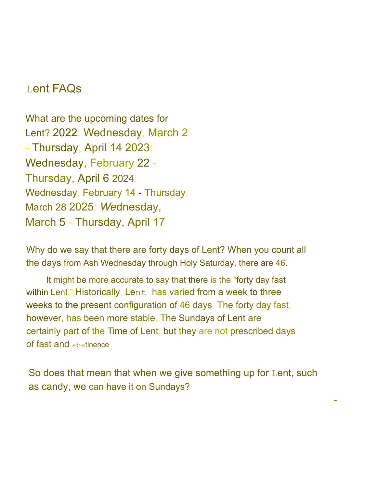#### Lent FAQs

What are the upcoming dates for Lent? 2022: Wednesday, March 2 - Thursday, April 14 2023: Wednesday, February 22 - Thursday, April 6 2024: Wednesday, February 14 - Thursday, March 28 2025: *We*dnesday, March 5 - Thursday, April 17

Why do we say that there are forty days of Lent? When you count all the days from Ash Wednesday through Holy Saturday, there are 46.

It might be more accurate to say that there is the "forty day fast within Lent." Historically, Lent has varied from a week to three weeks to the present configuration of 46 days. The forty day fast, however, has been more stable. The Sundays of Lent are certainly part of the Time of Lent, but they are not prescribed days of fast and abstinence.

So does that mean that when we give something up for Lent, such as candy, we can have it on Sundays?

-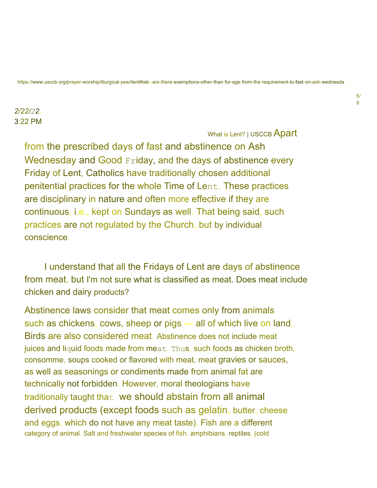#### https://www.usccb.org/prayer-worship/liturgical-year/lent#tab--are-there-exemptions-other-than-for-age-from-the-requirement-to-fast-on-ash-wednesda.

#### *2/22/22*, 3:22 PM

What is Lent? | USCCB Apart

from the prescribed days of fast and abstinence on Ash Wednesday and Good Friday, and the days of abstinence every Friday of Lent, Catholics have traditionally chosen additional penitential practices for the whole Time of Lent. These practices are disciplinary in nature and often more effective if they are continuous, i.e., kept on Sundays as well. That being said, such practices are not regulated by the Church, but by individual conscience.

I understand that all the Fridays of Lent are days of abstinence from meat, but I'm not sure what is classified as meat. Does meat include chicken and dairy products?

Abstinence laws consider that meat comes only from animals such as chickens, cows, sheep or pigs --- all of which live on land. Birds are also considered meat. Abstinence does not include meat juices and liquid foods made from meat. Thus, such foods as chicken broth, consomme, soups cooked or flavored with meat, meat gravies or sauces, as well as seasonings or condiments made from animal fat are technically not forbidden. However, moral theologians have traditionally taught that we should abstain from all animal derived products (except foods such as gelatin, butter, cheese and eggs, which do not have any meat taste). Fish are a different category of animal. Salt and freshwater species of fish, amphibians, reptiles, (cold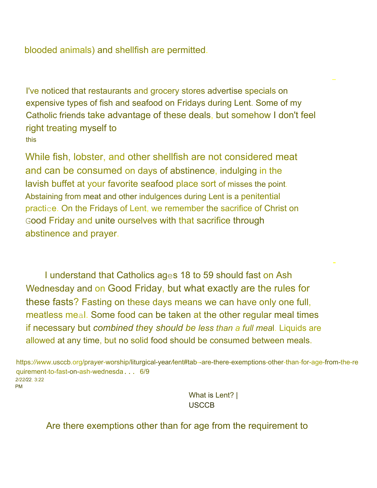blooded animals) and shellfish are permitted.

I've noticed that restaurants and grocery stores advertise specials on expensive types of fish and seafood on Fridays during Lent. Some of my Catholic friends take advantage of these deals, but somehow I don't feel right treating myself to this

While fish, lobster, and other shellfish are not considered meat and can be consumed on days of abstinence, indulging in the lavish buffet at your favorite seafood place sort of misses the point. Abstaining from meat and other indulgences during Lent is a penitential practice. On the Fridays of Lent, we remember the sacrifice of Christ on Good Friday and unite ourselves with that sacrifice through abstinence and prayer.

I understand that Catholics ages 18 to 59 should fast on Ash Wednesday and on Good Friday, but what exactly are the rules for these fasts? Fasting on these days means we can have only one full, meatless meal. Some food can be taken at the other regular meal times if necessary but *combined the*y *should be less than a full mea*l. Liquids are allowed at any time, but no solid food should be consumed between meals.

https*://w*ww.usccb.org/pra*ye*r-worship/liturgical-year*/*lent#tab--are-there-exemptions-other-than-for-age-from-the-re quirement-to-fast-on-ash-wednesda... 6/9 *2/22/*22, 3:22 PM

> What is Lent? | USCCB

-

Are there exemptions other than for age from the requirement to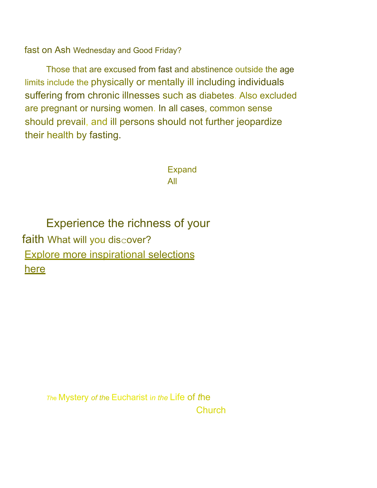fast on Ash Wednesday and Good Friday?

Those that are excused from fast and abstinence outside the age limits include the physically or mentally ill including individuals suffering from chronic illnesses such as diabetes. Also excluded are pregnant or nursing women. In all cases, common sense should prevail, and ill persons should not further jeopardize their health by fasting.

> Expand All

Experience the richness of your faith What will you discover? Explore more inspirational selections here

> *Th*<sup>e</sup> Mystery *of th*e Eucharist i*n the* Life of *t*he **Church**